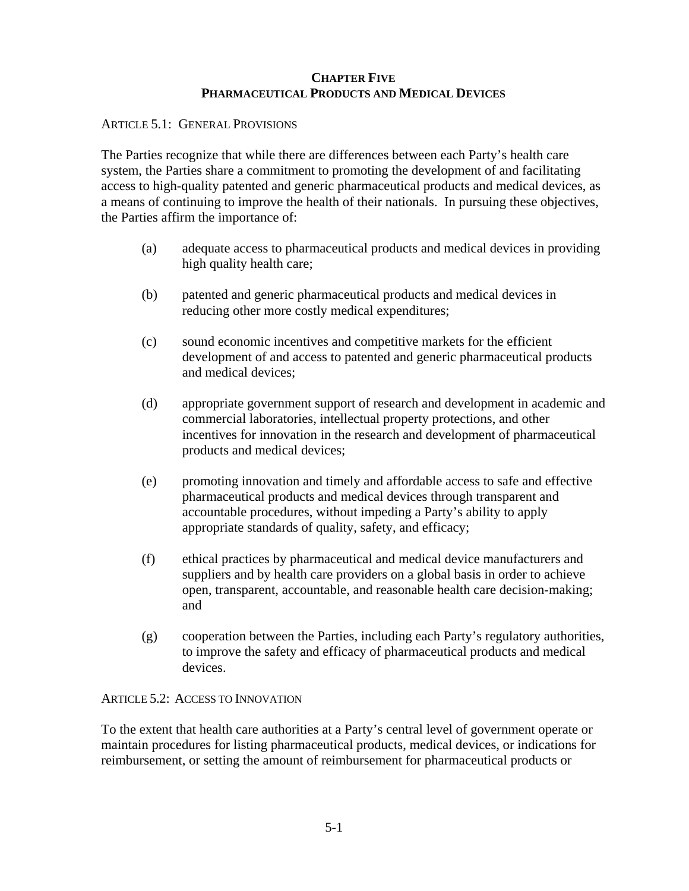# **CHAPTER FIVE PHARMACEUTICAL PRODUCTS AND MEDICAL DEVICES**

### ARTICLE 5.1: GENERAL PROVISIONS

The Parties recognize that while there are differences between each Party's health care system, the Parties share a commitment to promoting the development of and facilitating access to high-quality patented and generic pharmaceutical products and medical devices, as a means of continuing to improve the health of their nationals. In pursuing these objectives, the Parties affirm the importance of:

- (a) adequate access to pharmaceutical products and medical devices in providing high quality health care;
- (b) patented and generic pharmaceutical products and medical devices in reducing other more costly medical expenditures;
- (c) sound economic incentives and competitive markets for the efficient development of and access to patented and generic pharmaceutical products and medical devices;
- (d) appropriate government support of research and development in academic and commercial laboratories, intellectual property protections, and other incentives for innovation in the research and development of pharmaceutical products and medical devices;
- (e) promoting innovation and timely and affordable access to safe and effective pharmaceutical products and medical devices through transparent and accountable procedures, without impeding a Party's ability to apply appropriate standards of quality, safety, and efficacy;
- (f) ethical practices by pharmaceutical and medical device manufacturers and suppliers and by health care providers on a global basis in order to achieve open, transparent, accountable, and reasonable health care decision-making; and
- (g) cooperation between the Parties, including each Party's regulatory authorities, to improve the safety and efficacy of pharmaceutical products and medical devices.

# ARTICLE 5.2: ACCESS TO INNOVATION

To the extent that health care authorities at a Party's central level of government operate or maintain procedures for listing pharmaceutical products, medical devices, or indications for reimbursement, or setting the amount of reimbursement for pharmaceutical products or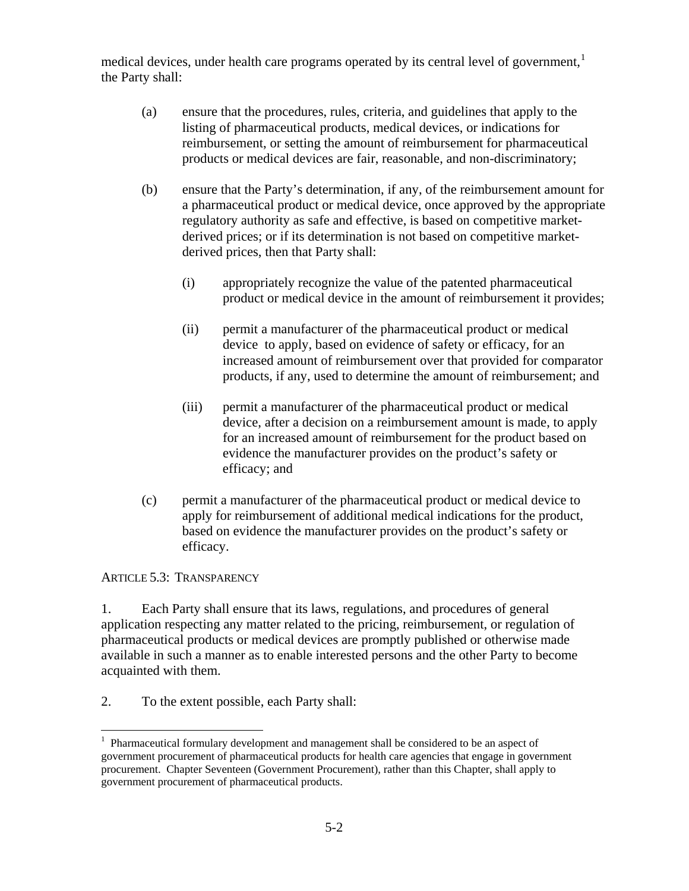medical devices, under health care programs operated by its central level of government,<sup>[1](#page-1-0)</sup> the Party shall:

- (a) ensure that the procedures, rules, criteria, and guidelines that apply to the listing of pharmaceutical products, medical devices, or indications for reimbursement, or setting the amount of reimbursement for pharmaceutical products or medical devices are fair, reasonable, and non-discriminatory;
- (b) ensure that the Party's determination, if any, of the reimbursement amount for a pharmaceutical product or medical device, once approved by the appropriate regulatory authority as safe and effective, is based on competitive marketderived prices; or if its determination is not based on competitive marketderived prices, then that Party shall:
	- (i) appropriately recognize the value of the patented pharmaceutical product or medical device in the amount of reimbursement it provides;
	- (ii) permit a manufacturer of the pharmaceutical product or medical device to apply, based on evidence of safety or efficacy, for an increased amount of reimbursement over that provided for comparator products, if any, used to determine the amount of reimbursement; and
	- (iii) permit a manufacturer of the pharmaceutical product or medical device, after a decision on a reimbursement amount is made, to apply for an increased amount of reimbursement for the product based on evidence the manufacturer provides on the product's safety or efficacy; and
- (c) permit a manufacturer of the pharmaceutical product or medical device to apply for reimbursement of additional medical indications for the product, based on evidence the manufacturer provides on the product's safety or efficacy.

# ARTICLE 5.3: TRANSPARENCY

1. Each Party shall ensure that its laws, regulations, and procedures of general application respecting any matter related to the pricing, reimbursement, or regulation of pharmaceutical products or medical devices are promptly published or otherwise made available in such a manner as to enable interested persons and the other Party to become acquainted with them.

2. To the extent possible, each Party shall:

<span id="page-1-0"></span> $\overline{a}$  $<sup>1</sup>$  Pharmaceutical formulary development and management shall be considered to be an aspect of</sup> government procurement of pharmaceutical products for health care agencies that engage in government procurement. Chapter Seventeen (Government Procurement), rather than this Chapter, shall apply to government procurement of pharmaceutical products.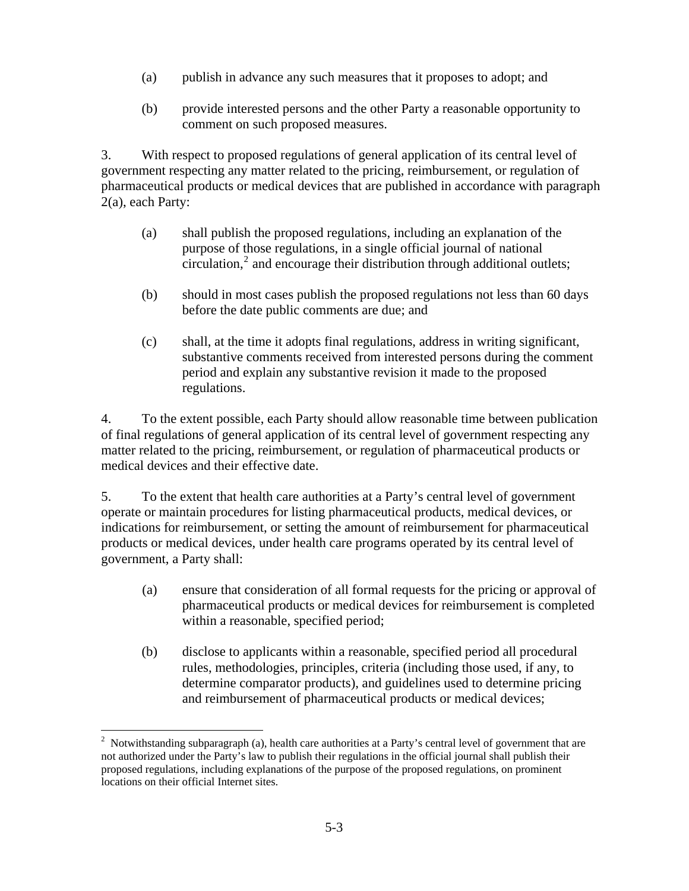- (a) publish in advance any such measures that it proposes to adopt; and
- (b) provide interested persons and the other Party a reasonable opportunity to comment on such proposed measures.

3. With respect to proposed regulations of general application of its central level of government respecting any matter related to the pricing, reimbursement, or regulation of pharmaceutical products or medical devices that are published in accordance with paragraph 2(a), each Party:

- (a) shall publish the proposed regulations, including an explanation of the purpose of those regulations, in a single official journal of national  $circulation<sub>i</sub><sup>2</sup>$  $circulation<sub>i</sub><sup>2</sup>$  $circulation<sub>i</sub><sup>2</sup>$  and encourage their distribution through additional outlets;
- (b) should in most cases publish the proposed regulations not less than 60 days before the date public comments are due; and
- (c) shall, at the time it adopts final regulations, address in writing significant, substantive comments received from interested persons during the comment period and explain any substantive revision it made to the proposed regulations.

4. To the extent possible, each Party should allow reasonable time between publication of final regulations of general application of its central level of government respecting any matter related to the pricing, reimbursement, or regulation of pharmaceutical products or medical devices and their effective date.

5. To the extent that health care authorities at a Party's central level of government operate or maintain procedures for listing pharmaceutical products, medical devices, or indications for reimbursement, or setting the amount of reimbursement for pharmaceutical products or medical devices, under health care programs operated by its central level of government, a Party shall:

- (a) ensure that consideration of all formal requests for the pricing or approval of pharmaceutical products or medical devices for reimbursement is completed within a reasonable, specified period;
- (b) disclose to applicants within a reasonable, specified period all procedural rules, methodologies, principles, criteria (including those used, if any, to determine comparator products), and guidelines used to determine pricing and reimbursement of pharmaceutical products or medical devices;

<span id="page-2-0"></span> $\overline{a}$ <sup>2</sup> Notwithstanding subparagraph (a), health care authorities at a Party's central level of government that are not authorized under the Party's law to publish their regulations in the official journal shall publish their proposed regulations, including explanations of the purpose of the proposed regulations, on prominent locations on their official Internet sites.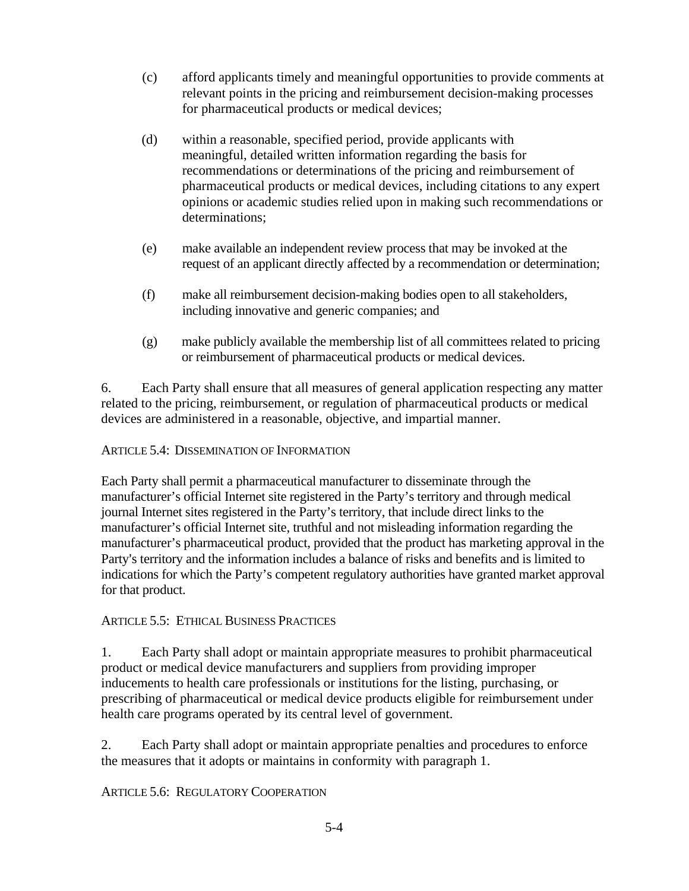- (c) afford applicants timely and meaningful opportunities to provide comments at relevant points in the pricing and reimbursement decision-making processes for pharmaceutical products or medical devices;
- (d) within a reasonable, specified period, provide applicants with meaningful, detailed written information regarding the basis for recommendations or determinations of the pricing and reimbursement of pharmaceutical products or medical devices, including citations to any expert opinions or academic studies relied upon in making such recommendations or determinations;
- (e) make available an independent review process that may be invoked at the request of an applicant directly affected by a recommendation or determination;
- (f) make all reimbursement decision-making bodies open to all stakeholders, including innovative and generic companies; and
- (g) make publicly available the membership list of all committees related to pricing or reimbursement of pharmaceutical products or medical devices.

6. Each Party shall ensure that all measures of general application respecting any matter related to the pricing, reimbursement, or regulation of pharmaceutical products or medical devices are administered in a reasonable, objective, and impartial manner.

# ARTICLE 5.4: DISSEMINATION OF INFORMATION

Each Party shall permit a pharmaceutical manufacturer to disseminate through the manufacturer's official Internet site registered in the Party's territory and through medical journal Internet sites registered in the Party's territory, that include direct links to the manufacturer's official Internet site, truthful and not misleading information regarding the manufacturer's pharmaceutical product, provided that the product has marketing approval in the Party's territory and the information includes a balance of risks and benefits and is limited to indications for which the Party's competent regulatory authorities have granted market approval for that product.

# ARTICLE 5.5: ETHICAL BUSINESS PRACTICES

1. Each Party shall adopt or maintain appropriate measures to prohibit pharmaceutical product or medical device manufacturers and suppliers from providing improper inducements to health care professionals or institutions for the listing, purchasing, or prescribing of pharmaceutical or medical device products eligible for reimbursement under health care programs operated by its central level of government.

2. Each Party shall adopt or maintain appropriate penalties and procedures to enforce the measures that it adopts or maintains in conformity with paragraph 1.

ARTICLE 5.6: REGULATORY COOPERATION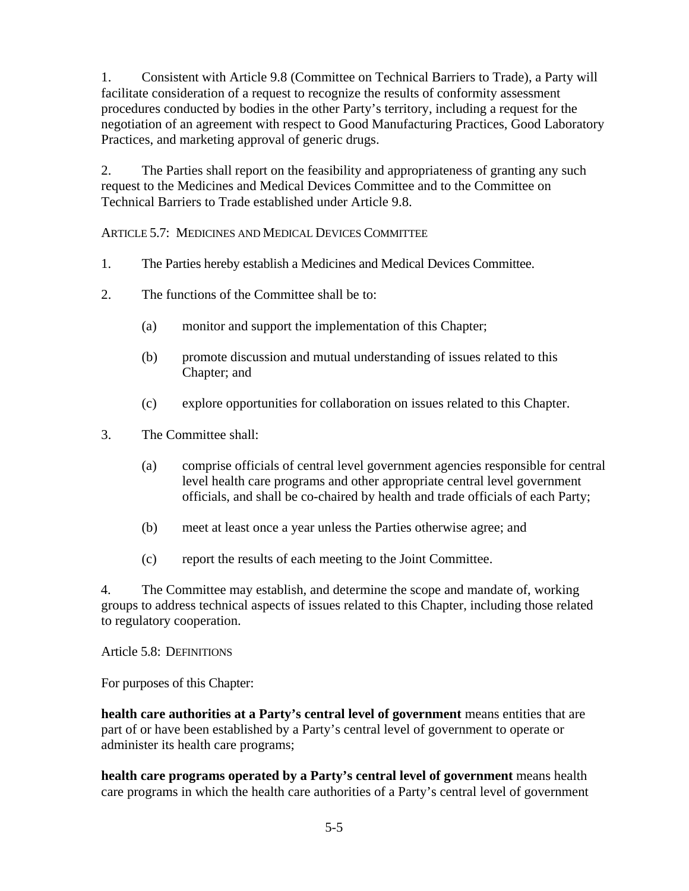1. Consistent with Article 9.8 (Committee on Technical Barriers to Trade), a Party will facilitate consideration of a request to recognize the results of conformity assessment procedures conducted by bodies in the other Party's territory, including a request for the negotiation of an agreement with respect to Good Manufacturing Practices, Good Laboratory Practices, and marketing approval of generic drugs.

2. The Parties shall report on the feasibility and appropriateness of granting any such request to the Medicines and Medical Devices Committee and to the Committee on Technical Barriers to Trade established under Article 9.8.

ARTICLE 5.7: MEDICINES AND MEDICAL DEVICES COMMITTEE

- 1. The Parties hereby establish a Medicines and Medical Devices Committee.
- 2. The functions of the Committee shall be to:
	- (a) monitor and support the implementation of this Chapter;
	- (b) promote discussion and mutual understanding of issues related to this Chapter; and
	- (c) explore opportunities for collaboration on issues related to this Chapter.
- 3. The Committee shall:
	- (a) comprise officials of central level government agencies responsible for central level health care programs and other appropriate central level government officials, and shall be co-chaired by health and trade officials of each Party;
	- (b) meet at least once a year unless the Parties otherwise agree; and
	- (c) report the results of each meeting to the Joint Committee.

4. The Committee may establish, and determine the scope and mandate of, working groups to address technical aspects of issues related to this Chapter, including those related to regulatory cooperation.

Article 5.8: DEFINITIONS

For purposes of this Chapter:

**health care authorities at a Party's central level of government** means entities that are part of or have been established by a Party's central level of government to operate or administer its health care programs;

**health care programs operated by a Party's central level of government** means health care programs in which the health care authorities of a Party's central level of government